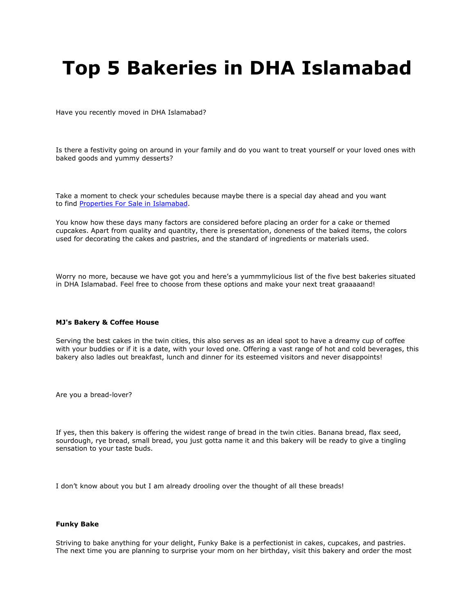# **Top 5 Bakeries in DHA Islamabad**

Have you recently moved in DHA Islamabad?

Is there a festivity going on around in your family and do you want to treat yourself or your loved ones with baked goods and yummy desserts?

Take a moment to check your schedules because maybe there is a special day ahead and you want to find [Properties For Sale in Islamabad.](https://gharbaar.com/sale/all/Islamabad-11-1)

You know how these days many factors are considered before placing an order for a cake or themed cupcakes. Apart from quality and quantity, there is presentation, doneness of the baked items, the colors used for decorating the cakes and pastries, and the standard of ingredients or materials used.

Worry no more, because we have got you and here's a yummmylicious list of the five best bakeries situated in DHA Islamabad. Feel free to choose from these options and make your next treat graaaaand!

#### **MJ's Bakery & Coffee House**

Serving the best cakes in the twin cities, this also serves as an ideal spot to have a dreamy cup of coffee with your buddies or if it is a date, with your loved one. Offering a vast range of hot and cold beverages, this bakery also ladles out breakfast, lunch and dinner for its esteemed visitors and never disappoints!

Are you a bread-lover?

If yes, then this bakery is offering the widest range of bread in the twin cities. Banana bread, flax seed, sourdough, rye bread, small bread, you just gotta name it and this bakery will be ready to give a tingling sensation to your taste buds.

I don't know about you but I am already drooling over the thought of all these breads!

### **Funky Bake**

Striving to bake anything for your delight, Funky Bake is a perfectionist in cakes, cupcakes, and pastries. The next time you are planning to surprise your mom on her birthday, visit this bakery and order the most